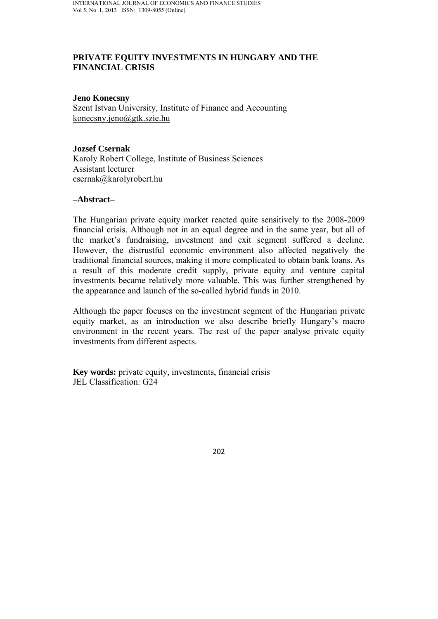# **PRIVATE EQUITY INVESTMENTS IN HUNGARY AND THE FINANCIAL CRISIS**

#### **Jeno Konecsny**

Szent Istvan University, Institute of Finance and Accounting konecsny.jeno@gtk.szie.hu

### **Jozsef Csernak**

Karoly Robert College, Institute of Business Sciences Assistant lecturer csernak@karolyrobert.hu

### **–Abstract–**

The Hungarian private equity market reacted quite sensitively to the 2008-2009 financial crisis. Although not in an equal degree and in the same year, but all of the market's fundraising, investment and exit segment suffered a decline. However, the distrustful economic environment also affected negatively the traditional financial sources, making it more complicated to obtain bank loans. As a result of this moderate credit supply, private equity and venture capital investments became relatively more valuable. This was further strengthened by the appearance and launch of the so-called hybrid funds in 2010.

Although the paper focuses on the investment segment of the Hungarian private equity market, as an introduction we also describe briefly Hungary's macro environment in the recent years. The rest of the paper analyse private equity investments from different aspects.

**Key words:** private equity, investments, financial crisis JEL Classification: G24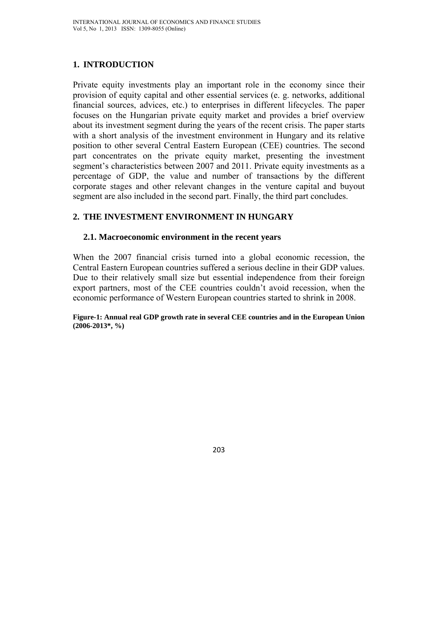# **1. INTRODUCTION**

Private equity investments play an important role in the economy since their provision of equity capital and other essential services (e. g. networks, additional financial sources, advices, etc.) to enterprises in different lifecycles. The paper focuses on the Hungarian private equity market and provides a brief overview about its investment segment during the years of the recent crisis. The paper starts with a short analysis of the investment environment in Hungary and its relative position to other several Central Eastern European (CEE) countries. The second part concentrates on the private equity market, presenting the investment segment's characteristics between 2007 and 2011. Private equity investments as a percentage of GDP, the value and number of transactions by the different corporate stages and other relevant changes in the venture capital and buyout segment are also included in the second part. Finally, the third part concludes.

# **2. THE INVESTMENT ENVIRONMENT IN HUNGARY**

### **2.1. Macroeconomic environment in the recent years**

When the 2007 financial crisis turned into a global economic recession, the Central Eastern European countries suffered a serious decline in their GDP values. Due to their relatively small size but essential independence from their foreign export partners, most of the CEE countries couldn't avoid recession, when the economic performance of Western European countries started to shrink in 2008.

#### **Figure-1: Annual real GDP growth rate in several CEE countries and in the European Union (2006-2013\*, %)**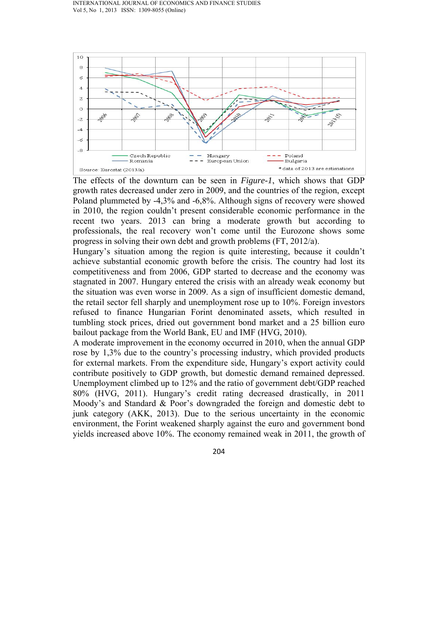

The effects of the downturn can be seen in *Figure-1*, which shows that GDP growth rates decreased under zero in 2009, and the countries of the region, except Poland plummeted by -4,3% and -6,8%. Although signs of recovery were showed in 2010, the region couldn't present considerable economic performance in the recent two years. 2013 can bring a moderate growth but according to professionals, the real recovery won't come until the Eurozone shows some progress in solving their own debt and growth problems (FT, 2012/a).

Hungary's situation among the region is quite interesting, because it couldn't achieve substantial economic growth before the crisis. The country had lost its competitiveness and from 2006, GDP started to decrease and the economy was stagnated in 2007. Hungary entered the crisis with an already weak economy but the situation was even worse in 2009. As a sign of insufficient domestic demand, the retail sector fell sharply and unemployment rose up to 10%. Foreign investors refused to finance Hungarian Forint denominated assets, which resulted in tumbling stock prices, dried out government bond market and a 25 billion euro bailout package from the World Bank, EU and IMF (HVG, 2010).

A moderate improvement in the economy occurred in 2010, when the annual GDP rose by 1,3% due to the country's processing industry, which provided products for external markets. From the expenditure side, Hungary's export activity could contribute positively to GDP growth, but domestic demand remained depressed. Unemployment climbed up to 12% and the ratio of government debt/GDP reached 80% (HVG, 2011). Hungary's credit rating decreased drastically, in 2011 Moody's and Standard & Poor's downgraded the foreign and domestic debt to junk category (AKK, 2013). Due to the serious uncertainty in the economic environment, the Forint weakened sharply against the euro and government bond yields increased above 10%. The economy remained weak in 2011, the growth of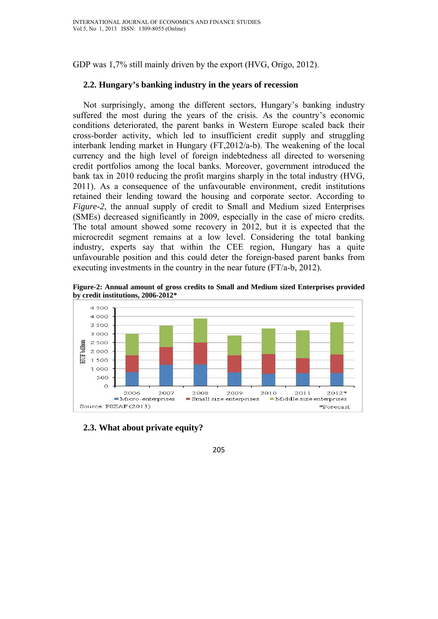GDP was 1,7% still mainly driven by the export (HVG, Origo, 2012).

### **2.2. Hungary's banking industry in the years of recession**

Not surprisingly, among the different sectors, Hungary's banking industry suffered the most during the years of the crisis. As the country's economic conditions deteriorated, the parent banks in Western Europe scaled back their cross-border activity, which led to insufficient credit supply and struggling interbank lending market in Hungary (FT,2012/a-b). The weakening of the local currency and the high level of foreign indebtedness all directed to worsening credit portfolios among the local banks. Moreover, government introduced the bank tax in 2010 reducing the profit margins sharply in the total industry (HVG, 2011). As a consequence of the unfavourable environment, credit institutions retained their lending toward the housing and corporate sector. According to *Figure-2*, the annual supply of credit to Small and Medium sized Enterprises (SMEs) decreased significantly in 2009, especially in the case of micro credits. The total amount showed some recovery in 2012, but it is expected that the microcredit segment remains at a low level. Considering the total banking industry, experts say that within the CEE region, Hungary has a quite unfavourable position and this could deter the foreign-based parent banks from executing investments in the country in the near future (FT/a-b, 2012).

**Figure-2: Annual amount of gross credits to Small and Medium sized Enterprises provided by credit institutions, 2006-2012\*** 



**2.3. What about private equity?**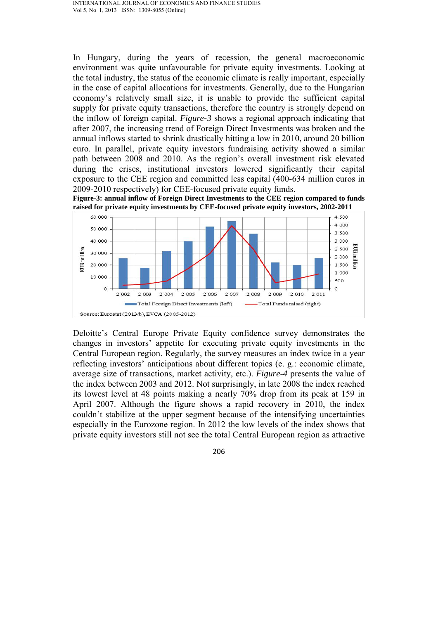In Hungary, during the years of recession, the general macroeconomic environment was quite unfavourable for private equity investments. Looking at the total industry, the status of the economic climate is really important, especially in the case of capital allocations for investments. Generally, due to the Hungarian economy's relatively small size, it is unable to provide the sufficient capital supply for private equity transactions, therefore the country is strongly depend on the inflow of foreign capital. *Figure-3* shows a regional approach indicating that after 2007, the increasing trend of Foreign Direct Investments was broken and the annual inflows started to shrink drastically hitting a low in 2010, around 20 billion euro. In parallel, private equity investors fundraising activity showed a similar path between 2008 and 2010. As the region's overall investment risk elevated during the crises, institutional investors lowered significantly their capital exposure to the CEE region and committed less capital (400-634 million euros in 2009-2010 respectively) for CEE-focused private equity funds.





Deloitte's Central Europe Private Equity confidence survey demonstrates the changes in investors' appetite for executing private equity investments in the Central European region. Regularly, the survey measures an index twice in a year reflecting investors' anticipations about different topics (e. g.: economic climate, average size of transactions, market activity, etc.). *Figure-4* presents the value of the index between 2003 and 2012. Not surprisingly, in late 2008 the index reached its lowest level at 48 points making a nearly 70% drop from its peak at 159 in April 2007. Although the figure shows a rapid recovery in 2010, the index couldn't stabilize at the upper segment because of the intensifying uncertainties especially in the Eurozone region. In 2012 the low levels of the index shows that private equity investors still not see the total Central European region as attractive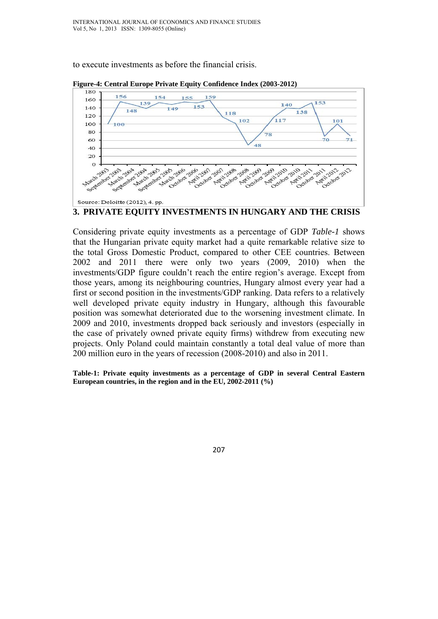to execute investments as before the financial crisis.



**Figure-4: Central Europe Private Equity Confidence Index (2003-2012)**

Considering private equity investments as a percentage of GDP *Table-1* shows that the Hungarian private equity market had a quite remarkable relative size to the total Gross Domestic Product, compared to other CEE countries. Between 2002 and 2011 there were only two years (2009, 2010) when the investments/GDP figure couldn't reach the entire region's average. Except from those years, among its neighbouring countries, Hungary almost every year had a first or second position in the investments/GDP ranking. Data refers to a relatively well developed private equity industry in Hungary, although this favourable position was somewhat deteriorated due to the worsening investment climate. In 2009 and 2010, investments dropped back seriously and investors (especially in the case of privately owned private equity firms) withdrew from executing new projects. Only Poland could maintain constantly a total deal value of more than 200 million euro in the years of recession (2008-2010) and also in 2011.

**Table-1: Private equity investments as a percentage of GDP in several Central Eastern European countries, in the region and in the EU, 2002-2011 (%)**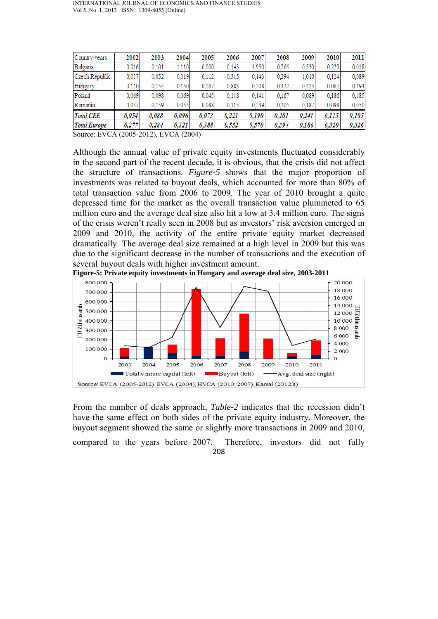| Country/years       | 2002  | 2003  | 2004  | 2005  | 2006  | 2007  | 2008  | 2009  | 2010  | 2011  |
|---------------------|-------|-------|-------|-------|-------|-------|-------|-------|-------|-------|
| Bulgaria            | 0.016 | 0.101 | 1.110 | 0,000 | 0.143 | 1.950 | 0,265 | 0,530 | 0,229 | 0,018 |
| Czech Republic      | 0.037 | 0.052 | 0.019 | 0.112 | 0.315 | 0.143 | 0.294 | 1.010 | 0.124 | 0.089 |
| Hungary             | 0,110 | 0,154 | 0,150 | 0.167 | 0,883 | 0,208 | 0,422 | 0,223 | 0.067 | 0,194 |
| Poland              | 0.069 | 0.098 | 0.069 | 0.045 | 0.118 | 0.141 | 0.167 | 0.089 | 0.186 | 0.185 |
| Romania             | 0.037 | 0,159 | 0.055 | 0.088 | 0,115 | 0,239 | 0,205 | 0.187 | 0.098 | 0,050 |
| <b>Total CEE</b>    | 0.054 | 0.088 | 0.096 | 0.073 | 0.221 | 0.190 | 0,201 | 0,241 | 0,115 | 0,105 |
| <b>Total Europe</b> | 0.277 | 0.284 | 0.321 | 0.388 | 0.552 | 0,570 | 0.394 | 0.186 | 0.320 | 0,326 |

Source: EVCA (2005-2012), EVCA (2004)

Although the annual value of private equity investments fluctuated considerably in the second part of the recent decade, it is obvious, that the crisis did not affect the structure of transactions. *Figure-5* shows that the major proportion of investments was related to buyout deals, which accounted for more than 80% of total transaction value from 2006 to 2009. The year of 2010 brought a quite depressed time for the market as the overall transaction value plummeted to 65 million euro and the average deal size also hit a low at 3.4 million euro. The signs of the crisis weren't really seen in 2008 but as investors' risk aversion emerged in 2009 and 2010, the activity of the entire private equity market decreased dramatically. The average deal size remained at a high level in 2009 but this was due to the significant decrease in the number of transactions and the execution of several buyout deals with higher investment amount.

**Figure-5: Private equity investments in Hungary and average deal size, 2003-2011** 



From the number of deals approach, *Table-2* indicates that the recession didn't have the same effect on both sides of the private equity industry. Moreover, the buyout segment showed the same or slightly more transactions in 2009 and 2010,

208 compared to the years before 2007. Therefore, investors did not fully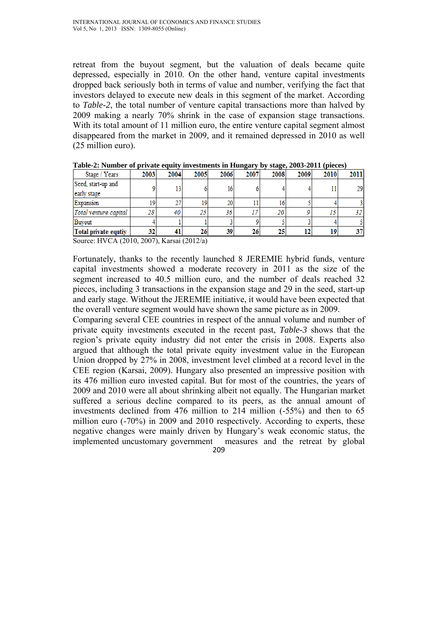retreat from the buyout segment, but the valuation of deals became quite depressed, especially in 2010. On the other hand, venture capital investments dropped back seriously both in terms of value and number, verifying the fact that investors delayed to execute new deals in this segment of the market. According to *Table-2*, the total number of venture capital transactions more than halved by 2009 making a nearly 70% shrink in the case of expansion stage transactions. With its total amount of 11 million euro, the entire venture capital segment almost disappeared from the market in 2009, and it remained depressed in 2010 as well (25 million euro).

|      |    |    |      |      | $\sim$ $\sim$ |    |    |              |
|------|----|----|------|------|---------------|----|----|--------------|
| 2003 |    |    | 2006 | 2007 | 2008          |    |    | 2011         |
|      |    |    | 16   |      |               |    |    | 29           |
|      |    |    |      |      |               |    |    |              |
|      |    | 19 | 20   |      | 16            |    |    |              |
| 28   | 40 | 25 | 36   |      | 20            |    |    |              |
|      |    |    |      |      |               |    |    |              |
| 32   |    | 26 | 39   | 26   | 25            | 12 | 19 |              |
|      |    |    | 2004 | 2005 |               |    |    | 2009<br>2010 |

**Table-2: Number of private equity investments in Hungary by stage, 2003-2011 (pieces)** 

Source: HVCA (2010, 2007), Karsai (2012/a)

Fortunately, thanks to the recently launched 8 JEREMIE hybrid funds, venture capital investments showed a moderate recovery in 2011 as the size of the segment increased to 40.5 million euro, and the number of deals reached 32 pieces, including 3 transactions in the expansion stage and 29 in the seed, start-up and early stage. Without the JEREMIE initiative, it would have been expected that the overall venture segment would have shown the same picture as in 2009.

209 Comparing several CEE countries in respect of the annual volume and number of private equity investments executed in the recent past, *Table-3* shows that the region's private equity industry did not enter the crisis in 2008. Experts also argued that although the total private equity investment value in the European Union dropped by 27% in 2008, investment level climbed at a record level in the CEE region (Karsai, 2009). Hungary also presented an impressive position with its 476 million euro invested capital. But for most of the countries, the years of 2009 and 2010 were all about shrinking albeit not equally. The Hungarian market suffered a serious decline compared to its peers, as the annual amount of investments declined from 476 million to 214 million (-55%) and then to 65 million euro (-70%) in 2009 and 2010 respectively. According to experts, these negative changes were mainly driven by Hungary's weak economic status, the implemented uncustomary government measures and the retreat by global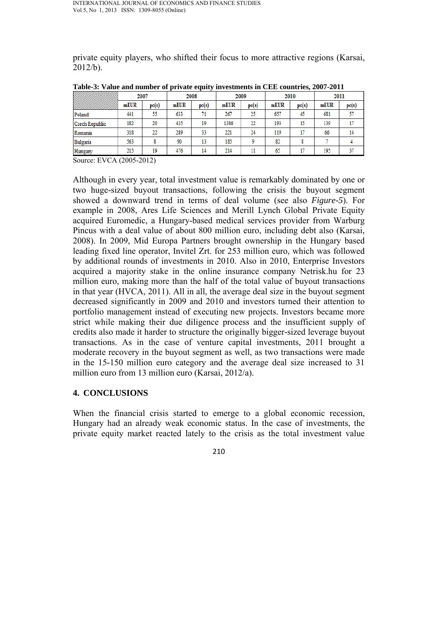private equity players, who shifted their focus to more attractive regions (Karsai,  $2012/b$ ).

|                | 2007 |       | $\sim$<br>2008 |       | 2009 |       | 2010 |       | 2011 |       |
|----------------|------|-------|----------------|-------|------|-------|------|-------|------|-------|
|                | mEUR | pc(s) | mEUR           | pc(s) | mEUR | pc(s) | mEUR | pc(s) | mEUR | pc(s) |
| Poland         | 441  | 55    | 633            | 71    | 267  | 25    | 657  | 45    | 681  | 57    |
| Czech Republic | 182  | 20    | 435            | 19    | 1386 | 22    | 193  | 15    | 139  |       |
| Romania        | 318  | 22    | 289            | 33    | 221  | 24    | 119  |       | 66   | 14    |
| Bulgaria       | 563  |       | 90             | 13    | 185  |       | 82   |       |      |       |
| Hungary        | 215  | 19    | 476            | 14    | 214  | 11    | 65   |       | 195  | 37    |

**Table-3: Value and number of private equity investments in CEE countries, 2007-2011**

Source: EVCA (2005-2012)

Although in every year, total investment value is remarkably dominated by one or two huge-sized buyout transactions, following the crisis the buyout segment showed a downward trend in terms of deal volume (see also *Figure-5*). For example in 2008, Ares Life Sciences and Merill Lynch Global Private Equity acquired Euromedic, a Hungary-based medical services provider from Warburg Pincus with a deal value of about 800 million euro, including debt also (Karsai, 2008). In 2009, Mid Europa Partners brought ownership in the Hungary based leading fixed line operator, Invitel Zrt. for 253 million euro, which was followed by additional rounds of investments in 2010. Also in 2010, Enterprise Investors acquired a majority stake in the online insurance company Netrisk.hu for 23 million euro, making more than the half of the total value of buyout transactions in that year (HVCA, 2011). All in all, the average deal size in the buyout segment decreased significantly in 2009 and 2010 and investors turned their attention to portfolio management instead of executing new projects. Investors became more strict while making their due diligence process and the insufficient supply of credits also made it harder to structure the originally bigger-sized leverage buyout transactions. As in the case of venture capital investments, 2011 brought a moderate recovery in the buyout segment as well, as two transactions were made in the 15-150 million euro category and the average deal size increased to 31 million euro from 13 million euro (Karsai, 2012/a).

### **4. CONCLUSIONS**

When the financial crisis started to emerge to a global economic recession, Hungary had an already weak economic status. In the case of investments, the private equity market reacted lately to the crisis as the total investment value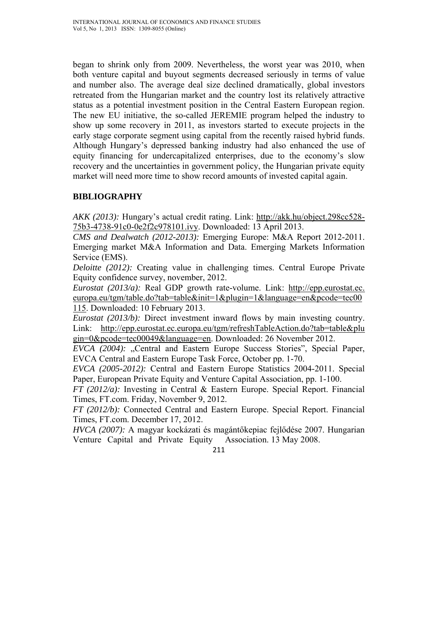began to shrink only from 2009. Nevertheless, the worst year was 2010, when both venture capital and buyout segments decreased seriously in terms of value and number also. The average deal size declined dramatically, global investors retreated from the Hungarian market and the country lost its relatively attractive status as a potential investment position in the Central Eastern European region. The new EU initiative, the so-called JEREMIE program helped the industry to show up some recovery in 2011, as investors started to execute projects in the early stage corporate segment using capital from the recently raised hybrid funds. Although Hungary's depressed banking industry had also enhanced the use of equity financing for undercapitalized enterprises, due to the economy's slow recovery and the uncertainties in government policy, the Hungarian private equity market will need more time to show record amounts of invested capital again.

# **BIBLIOGRAPHY**

*AKK (2013):* Hungary's actual credit rating. Link: http://akk.hu/object.298cc528- 75b3-4738-91c0-0e2f2c978101.ivy. Downloaded: 13 April 2013.

*CMS and Dealwatch (2012-2013):* Emerging Europe: M&A Report 2012-2011. Emerging market M&A Information and Data. Emerging Markets Information Service (EMS).

*Deloitte (2012):* Creating value in challenging times. Central Europe Private Equity confidence survey, november, 2012.

*Eurostat (2013/a):* Real GDP growth rate-volume. Link: http://epp.eurostat.ec. europa.eu/tgm/table.do?tab=table&init=1&plugin=1&language=en&pcode=tec00 115. Downloaded: 10 February 2013.

*Eurostat (2013/b):* Direct investment inward flows by main investing country. Link: http://epp.eurostat.ec.europa.eu/tgm/refreshTableAction.do?tab=table&plu gin=0&pcode=tec00049&language=en. Downloaded: 26 November 2012.

*EVCA (2004):* "Central and Eastern Europe Success Stories", Special Paper, EVCA Central and Eastern Europe Task Force, October pp. 1-70.

*EVCA (2005-2012):* Central and Eastern Europe Statistics 2004-2011. Special Paper, European Private Equity and Venture Capital Association, pp. 1-100.

*FT (2012/a):* Investing in Central & Eastern Europe. Special Report. Financial Times, FT.com. Friday, November 9, 2012.

*FT (2012/b):* Connected Central and Eastern Europe. Special Report. Financial Times, FT.com. December 17, 2012.

*HVCA (2007):* A magyar kockázati és magántőkepiac fejlődése 2007. Hungarian Venture Capital and Private Equity Association. 13 May 2008.

<sup>211</sup>